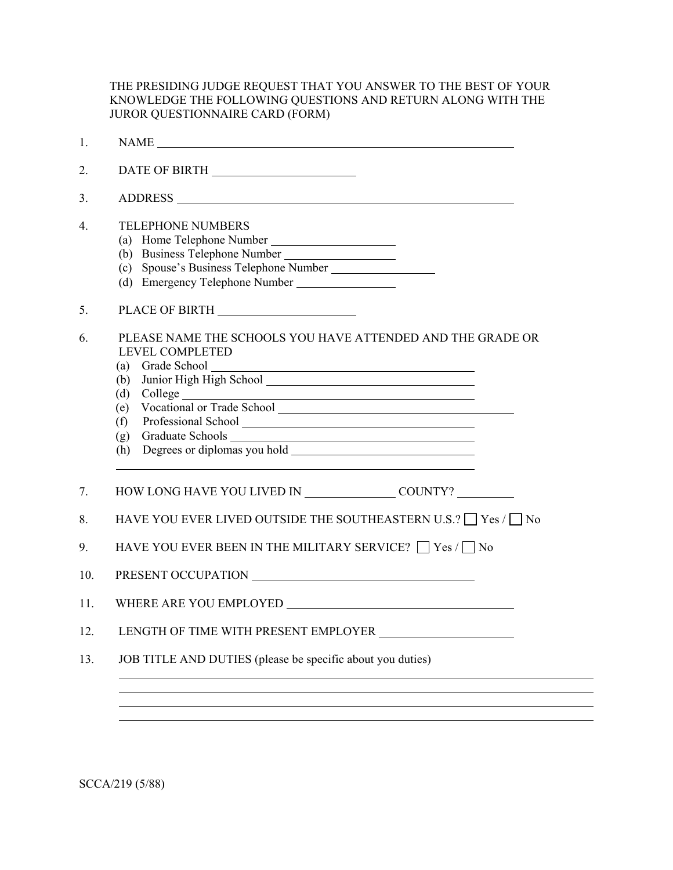THE PRESIDING JUDGE REQUEST THAT YOU ANSWER TO THE BEST OF YOUR KNOWLEDGE THE FOLLOWING QUESTIONS AND RETURN ALONG WITH THE JUROR QUESTIONNAIRE CARD (FORM)

| 1.  |                                                                                                                                                                                                                                            |
|-----|--------------------------------------------------------------------------------------------------------------------------------------------------------------------------------------------------------------------------------------------|
| 2.  |                                                                                                                                                                                                                                            |
| 3.  |                                                                                                                                                                                                                                            |
| 4.  | <b>TELEPHONE NUMBERS</b><br>(a) Home Telephone Number<br>(b) Business Telephone Number<br>(d) Emergency Telephone Number                                                                                                                   |
| 5.  | PLACE OF BIRTH                                                                                                                                                                                                                             |
| 6.  | PLEASE NAME THE SCHOOLS YOU HAVE ATTENDED AND THE GRADE OR<br><b>LEVEL COMPLETED</b><br>(a)<br>(b)<br>Graduate Schools<br>(g)<br><u> 1989 - Johann Barbara, martxa amerikan personal (h. 1989).</u><br>Degrees or diplomas you hold<br>(h) |
| 7.  |                                                                                                                                                                                                                                            |
| 8.  | HAVE YOU EVER LIVED OUTSIDE THE SOUTHEASTERN U.S.? $\Box$ Yes / $\Box$ No                                                                                                                                                                  |
| 9.  | HAVE YOU EVER BEEN IN THE MILITARY SERVICE? $\Box$ Yes / $\Box$ No                                                                                                                                                                         |
| 10. |                                                                                                                                                                                                                                            |
| 11. |                                                                                                                                                                                                                                            |
| 12. | LENGTH OF TIME WITH PRESENT EMPLOYER                                                                                                                                                                                                       |
|     |                                                                                                                                                                                                                                            |

SCCA/219 (5/88)